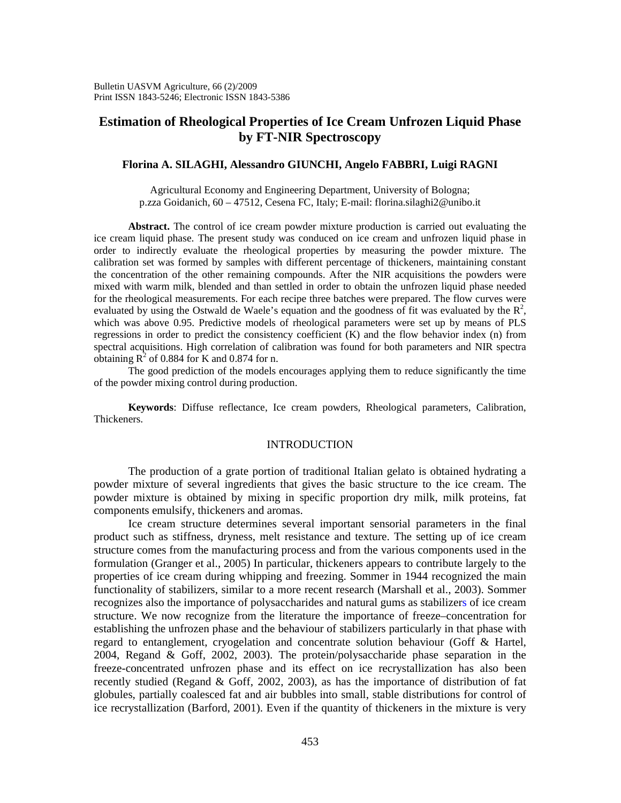# **Estimation of Rheological Properties of Ice Cream Unfrozen Liquid Phase by FT-NIR Spectroscopy**

# **Florina A. SILAGHI, Alessandro GIUNCHI, Angelo FABBRI, Luigi RAGNI**

Agricultural Economy and Engineering Department, University of Bologna; p.zza Goidanich, 60 – 47512, Cesena FC, Italy; E-mail: florina.silaghi2@unibo.it

**Abstract.** The control of ice cream powder mixture production is carried out evaluating the ice cream liquid phase. The present study was conduced on ice cream and unfrozen liquid phase in order to indirectly evaluate the rheological properties by measuring the powder mixture. The calibration set was formed by samples with different percentage of thickeners, maintaining constant the concentration of the other remaining compounds. After the NIR acquisitions the powders were mixed with warm milk, blended and than settled in order to obtain the unfrozen liquid phase needed for the rheological measurements. For each recipe three batches were prepared. The flow curves were evaluated by using the Ostwald de Waele's equation and the goodness of fit was evaluated by the  $\mathbb{R}^2$ , which was above 0.95. Predictive models of rheological parameters were set up by means of PLS regressions in order to predict the consistency coefficient (K) and the flow behavior index (n) from spectral acquisitions. High correlation of calibration was found for both parameters and NIR spectra obtaining  $R^2$  of 0.884 for K and 0.874 for n.

The good prediction of the models encourages applying them to reduce significantly the time of the powder mixing control during production.

**Keywords**: Diffuse reflectance, Ice cream powders, Rheological parameters, Calibration, Thickeners.

### INTRODUCTION

The production of a grate portion of traditional Italian gelato is obtained hydrating a powder mixture of several ingredients that gives the basic structure to the ice cream. The powder mixture is obtained by mixing in specific proportion dry milk, milk proteins, fat components emulsify, thickeners and aromas.

Ice cream structure determines several important sensorial parameters in the final product such as stiffness, dryness, melt resistance and texture. The setting up of ice cream structure comes from the manufacturing process and from the various components used in the formulation (Granger et al., 2005) In particular, thickeners appears to contribute largely to the properties of ice cream during whipping and freezing. Sommer in 1944 recognized the main functionality of stabilizers, similar to a more recent research (Marshall et al., 2003). Sommer recognizes also the importance of polysaccharides and natural gums as stabilizers of ice cream structure. We now recognize from the literature the importance of freeze–concentration for establishing the unfrozen phase and the behaviour of stabilizers particularly in that phase with regard to entanglement, cryogelation and concentrate solution behaviour (Goff & Hartel, 2004, Regand & Goff, 2002, 2003). The protein/polysaccharide phase separation in the freeze-concentrated unfrozen phase and its effect on ice recrystallization has also been recently studied (Regand & Goff, 2002, 2003), as has the importance of distribution of fat globules, partially coalesced fat and air bubbles into small, stable distributions for control of ice recrystallization (Barford, 2001). Even if the quantity of thickeners in the mixture is very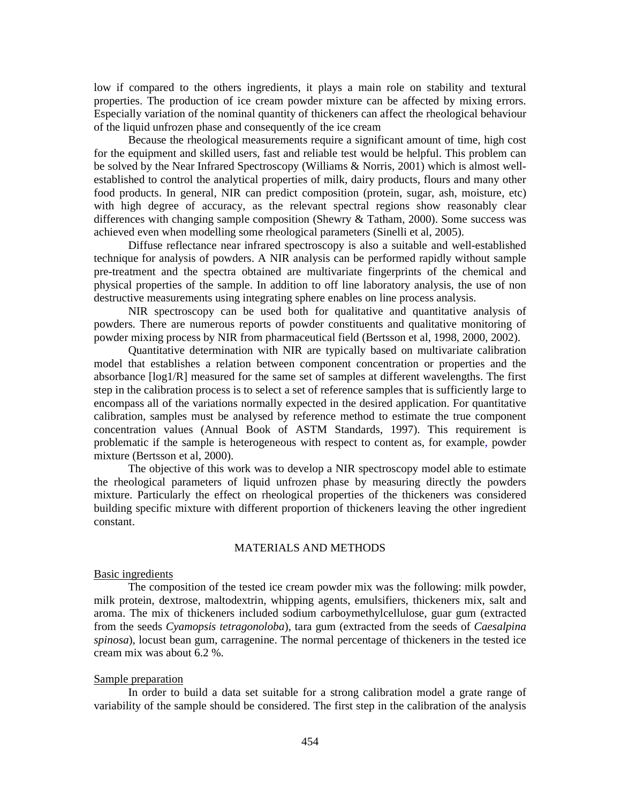low if compared to the others ingredients, it plays a main role on stability and textural properties. The production of ice cream powder mixture can be affected by mixing errors. Especially variation of the nominal quantity of thickeners can affect the rheological behaviour of the liquid unfrozen phase and consequently of the ice cream

Because the rheological measurements require a significant amount of time, high cost for the equipment and skilled users, fast and reliable test would be helpful. This problem can be solved by the Near Infrared Spectroscopy (Williams & Norris, 2001) which is almost wellestablished to control the analytical properties of milk, dairy products, flours and many other food products. In general, NIR can predict composition (protein, sugar, ash, moisture, etc) with high degree of accuracy, as the relevant spectral regions show reasonably clear differences with changing sample composition (Shewry & Tatham, 2000). Some success was achieved even when modelling some rheological parameters (Sinelli et al, 2005).

Diffuse reflectance near infrared spectroscopy is also a suitable and well-established technique for analysis of powders. A NIR analysis can be performed rapidly without sample pre-treatment and the spectra obtained are multivariate fingerprints of the chemical and physical properties of the sample. In addition to off line laboratory analysis, the use of non destructive measurements using integrating sphere enables on line process analysis.

NIR spectroscopy can be used both for qualitative and quantitative analysis of powders. There are numerous reports of powder constituents and qualitative monitoring of powder mixing process by NIR from pharmaceutical field (Bertsson et al, 1998, 2000, 2002).

Quantitative determination with NIR are typically based on multivariate calibration model that establishes a relation between component concentration or properties and the absorbance [log1/R] measured for the same set of samples at different wavelengths. The first step in the calibration process is to select a set of reference samples that is sufficiently large to encompass all of the variations normally expected in the desired application. For quantitative calibration, samples must be analysed by reference method to estimate the true component concentration values (Annual Book of ASTM Standards, 1997). This requirement is problematic if the sample is heterogeneous with respect to content as, for example, powder mixture (Bertsson et al, 2000).

The objective of this work was to develop a NIR spectroscopy model able to estimate the rheological parameters of liquid unfrozen phase by measuring directly the powders mixture. Particularly the effect on rheological properties of the thickeners was considered building specific mixture with different proportion of thickeners leaving the other ingredient constant.

# MATERIALS AND METHODS

# Basic ingredients

The composition of the tested ice cream powder mix was the following: milk powder, milk protein, dextrose, maltodextrin, whipping agents, emulsifiers, thickeners mix, salt and aroma. The mix of thickeners included sodium carboymethylcellulose, guar gum (extracted from the seeds *Cyamopsis tetragonoloba*), tara gum (extracted from the seeds of *Caesalpina spinosa*), locust bean gum, carragenine. The normal percentage of thickeners in the tested ice cream mix was about 6.2 %.

# Sample preparation

In order to build a data set suitable for a strong calibration model a grate range of variability of the sample should be considered. The first step in the calibration of the analysis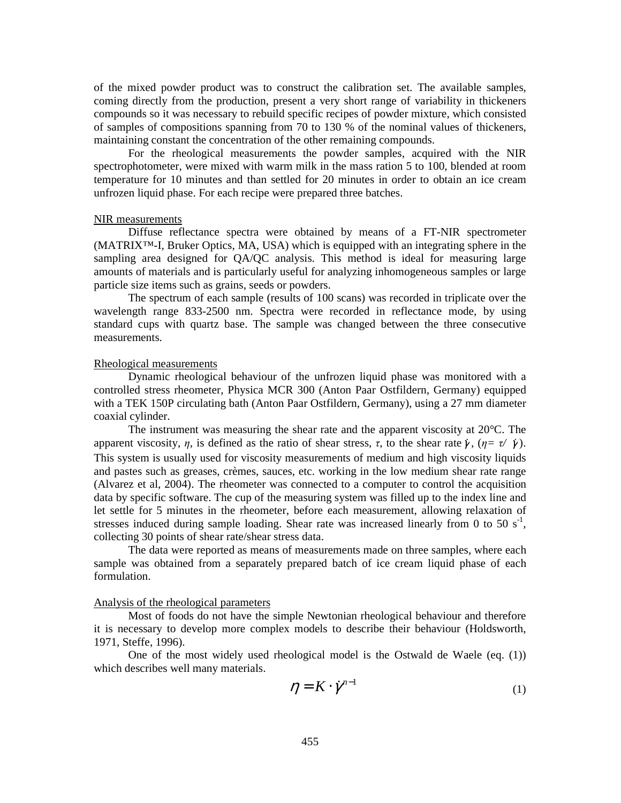of the mixed powder product was to construct the calibration set. The available samples, coming directly from the production, present a very short range of variability in thickeners compounds so it was necessary to rebuild specific recipes of powder mixture, which consisted of samples of compositions spanning from 70 to 130 % of the nominal values of thickeners, maintaining constant the concentration of the other remaining compounds.

For the rheological measurements the powder samples, acquired with the NIR spectrophotometer, were mixed with warm milk in the mass ration 5 to 100, blended at room temperature for 10 minutes and than settled for 20 minutes in order to obtain an ice cream unfrozen liquid phase. For each recipe were prepared three batches.

#### NIR measurements

Diffuse reflectance spectra were obtained by means of a FT-NIR spectrometer (MATRIX™-I, Bruker Optics, MA, USA) which is equipped with an integrating sphere in the sampling area designed for QA/QC analysis. This method is ideal for measuring large amounts of materials and is particularly useful for analyzing inhomogeneous samples or large particle size items such as grains, seeds or powders.

The spectrum of each sample (results of 100 scans) was recorded in triplicate over the wavelength range 833-2500 nm. Spectra were recorded in reflectance mode, by using standard cups with quartz base. The sample was changed between the three consecutive measurements.

#### Rheological measurements

Dynamic rheological behaviour of the unfrozen liquid phase was monitored with a controlled stress rheometer, Physica MCR 300 (Anton Paar Ostfildern, Germany) equipped with a TEK 150P circulating bath (Anton Paar Ostfildern, Germany), using a 27 mm diameter coaxial cylinder.

The instrument was measuring the shear rate and the apparent viscosity at 20°C. The apparent viscosity, *η*, is defined as the ratio of shear stress, *τ*, to the shear rate  $\dot{\gamma}$ , (*η*= *τ*/  $\dot{\gamma}$ ). This system is usually used for viscosity measurements of medium and high viscosity liquids and pastes such as greases, crèmes, sauces, etc. working in the low medium shear rate range (Alvarez et al, 2004). The rheometer was connected to a computer to control the acquisition data by specific software. The cup of the measuring system was filled up to the index line and let settle for 5 minutes in the rheometer, before each measurement, allowing relaxation of stresses induced during sample loading. Shear rate was increased linearly from 0 to 50  $s^{-1}$ , collecting 30 points of shear rate/shear stress data.

The data were reported as means of measurements made on three samples, where each sample was obtained from a separately prepared batch of ice cream liquid phase of each formulation.

# Analysis of the rheological parameters

Most of foods do not have the simple Newtonian rheological behaviour and therefore it is necessary to develop more complex models to describe their behaviour (Holdsworth, 1971, Steffe, 1996).

One of the most widely used rheological model is the Ostwald de Waele (eq. (1)) which describes well many materials.

$$
\eta = K \cdot \dot{\gamma}^{n-1} \tag{1}
$$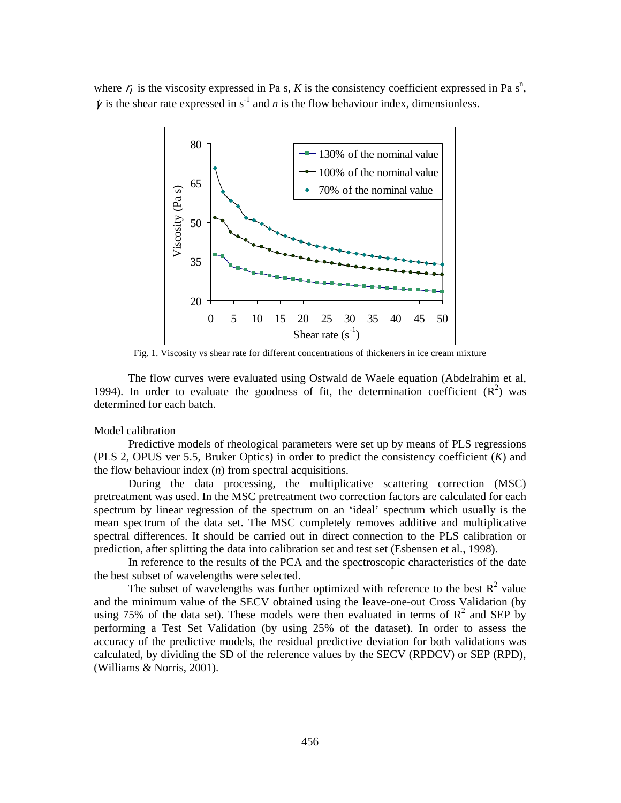where  $\eta$  is the viscosity expressed in Pa s, K is the consistency coefficient expressed in Pa s<sup>n</sup>,  $\dot{\gamma}$  is the shear rate expressed in s<sup>-1</sup> and *n* is the flow behaviour index, dimensionless.



Fig. 1. Viscosity vs shear rate for different concentrations of thickeners in ice cream mixture

The flow curves were evaluated using Ostwald de Waele equation (Abdelrahim et al, 1994). In order to evaluate the goodness of fit, the determination coefficient  $(R^2)$  was determined for each batch.

### Model calibration

Predictive models of rheological parameters were set up by means of PLS regressions (PLS 2, OPUS ver 5.5, Bruker Optics) in order to predict the consistency coefficient (*K*) and the flow behaviour index (*n*) from spectral acquisitions.

During the data processing, the multiplicative scattering correction (MSC) pretreatment was used. In the MSC pretreatment two correction factors are calculated for each spectrum by linear regression of the spectrum on an 'ideal' spectrum which usually is the mean spectrum of the data set. The MSC completely removes additive and multiplicative spectral differences. It should be carried out in direct connection to the PLS calibration or prediction, after splitting the data into calibration set and test set (Esbensen et al., 1998).

In reference to the results of the PCA and the spectroscopic characteristics of the date the best subset of wavelengths were selected.

The subset of wavelengths was further optimized with reference to the best  $R^2$  value and the minimum value of the SECV obtained using the leave-one-out Cross Validation (by using 75% of the data set). These models were then evaluated in terms of  $\mathbb{R}^2$  and SEP by performing a Test Set Validation (by using 25% of the dataset). In order to assess the accuracy of the predictive models, the residual predictive deviation for both validations was calculated, by dividing the SD of the reference values by the SECV (RPDCV) or SEP (RPD), (Williams & Norris, 2001).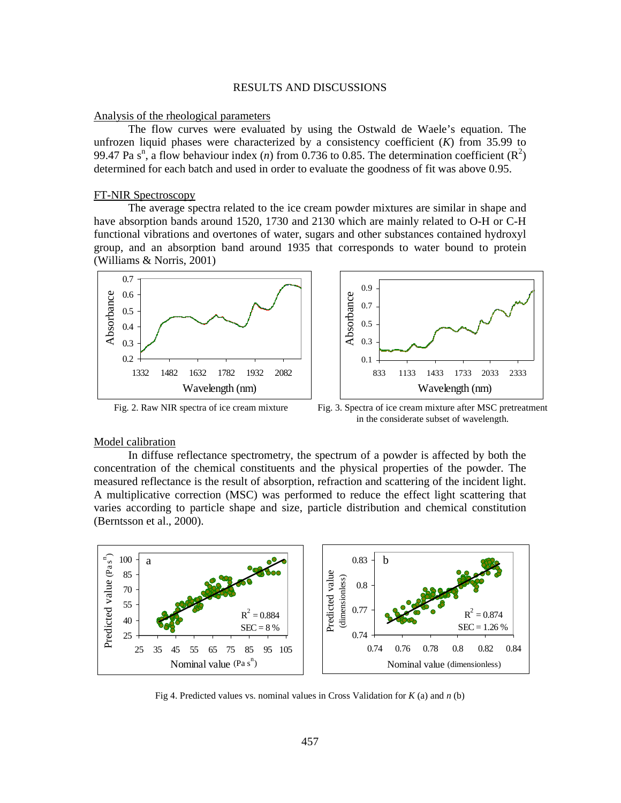# RESULTS AND DISCUSSIONS

### Analysis of the rheological parameters

The flow curves were evaluated by using the Ostwald de Waele's equation. The unfrozen liquid phases were characterized by a consistency coefficient (*K*) from 35.99 to 99.47 Pa s<sup>n</sup>, a flow behaviour index (*n*) from 0.736 to 0.85. The determination coefficient ( $\mathbb{R}^2$ ) determined for each batch and used in order to evaluate the goodness of fit was above 0.95.

# FT-NIR Spectroscopy

The average spectra related to the ice cream powder mixtures are similar in shape and have absorption bands around 1520, 1730 and 2130 which are mainly related to O-H or C-H functional vibrations and overtones of water, sugars and other substances contained hydroxyl group, and an absorption band around 1935 that corresponds to water bound to protein (Williams & Norris, 2001)





Fig. 2. Raw NIR spectra of ice cream mixture Fig. 3. Spectra of ice cream mixture after MSC pretreatment in the considerate subset of wavelength.

#### Model calibration

In diffuse reflectance spectrometry, the spectrum of a powder is affected by both the concentration of the chemical constituents and the physical properties of the powder. The measured reflectance is the result of absorption, refraction and scattering of the incident light. A multiplicative correction (MSC) was performed to reduce the effect light scattering that varies according to particle shape and size, particle distribution and chemical constitution (Berntsson et al., 2000).



Fig 4. Predicted values vs. nominal values in Cross Validation for *K* (a) and *n* (b)